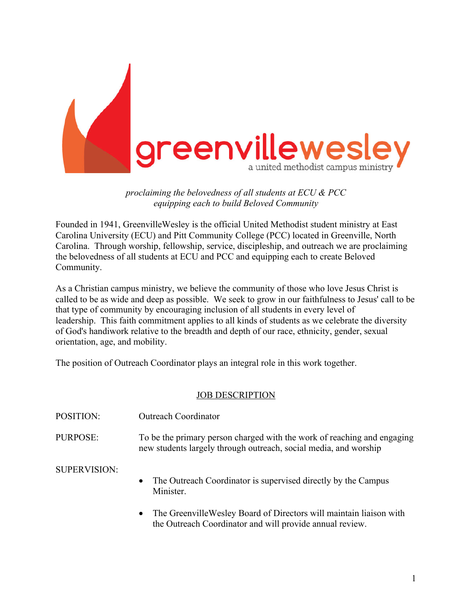

*proclaiming the belovedness of all students at ECU & PCC equipping each to build Beloved Community*

Founded in 1941, GreenvilleWesley is the official United Methodist student ministry at East Carolina University (ECU) and Pitt Community College (PCC) located in Greenville, North Carolina. Through worship, fellowship, service, discipleship, and outreach we are proclaiming the belovedness of all students at ECU and PCC and equipping each to create Beloved Community.

As a Christian campus ministry, we believe the community of those who love Jesus Christ is called to be as wide and deep as possible. We seek to grow in our faithfulness to Jesus' call to be that type of community by encouraging inclusion of all students in every level of leadership. This faith commitment applies to all kinds of students as we celebrate the diversity of God's handiwork relative to the breadth and depth of our race, ethnicity, gender, sexual orientation, age, and mobility.

The position of Outreach Coordinator plays an integral role in this work together.

## JOB DESCRIPTION

| POSITION:           | <b>Outreach Coordinator</b>                                                                                                                 |
|---------------------|---------------------------------------------------------------------------------------------------------------------------------------------|
| PURPOSE:            | To be the primary person charged with the work of reaching and engaging<br>new students largely through outreach, social media, and worship |
| <b>SUPERVISION:</b> | • The Outreach Coordinator is supervised directly by the Campus<br>Minister.                                                                |
|                     | • The Greenville Wesley Board of Directors will maintain liaison with<br>the Outreach Coordinator and will provide annual review.           |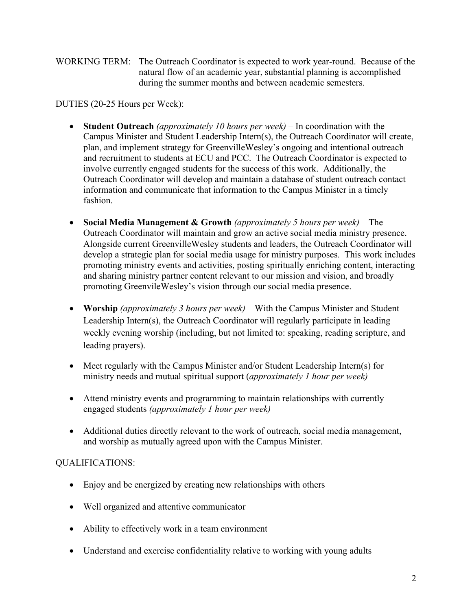WORKING TERM: The Outreach Coordinator is expected to work year-round. Because of the natural flow of an academic year, substantial planning is accomplished during the summer months and between academic semesters.

DUTIES (20-25 Hours per Week):

- **Student Outreach** *(approximately 10 hours per week)* In coordination with the Campus Minister and Student Leadership Intern(s), the Outreach Coordinator will create, plan, and implement strategy for GreenvilleWesley's ongoing and intentional outreach and recruitment to students at ECU and PCC. The Outreach Coordinator is expected to involve currently engaged students for the success of this work. Additionally, the Outreach Coordinator will develop and maintain a database of student outreach contact information and communicate that information to the Campus Minister in a timely fashion.
- **Social Media Management & Growth** *(approximately 5 hours per week)* The Outreach Coordinator will maintain and grow an active social media ministry presence. Alongside current GreenvilleWesley students and leaders, the Outreach Coordinator will develop a strategic plan for social media usage for ministry purposes. This work includes promoting ministry events and activities, posting spiritually enriching content, interacting and sharing ministry partner content relevant to our mission and vision, and broadly promoting GreenvileWesley's vision through our social media presence.
- **Worship** *(approximately 3 hours per week)* With the Campus Minister and Student Leadership Intern(s), the Outreach Coordinator will regularly participate in leading weekly evening worship (including, but not limited to: speaking, reading scripture, and leading prayers).
- Meet regularly with the Campus Minister and/or Student Leadership Intern(s) for ministry needs and mutual spiritual support (*approximately 1 hour per week)*
- Attend ministry events and programming to maintain relationships with currently engaged students *(approximately 1 hour per week)*
- Additional duties directly relevant to the work of outreach, social media management, and worship as mutually agreed upon with the Campus Minister.

## QUALIFICATIONS:

- Enjoy and be energized by creating new relationships with others
- Well organized and attentive communicator
- Ability to effectively work in a team environment
- Understand and exercise confidentiality relative to working with young adults